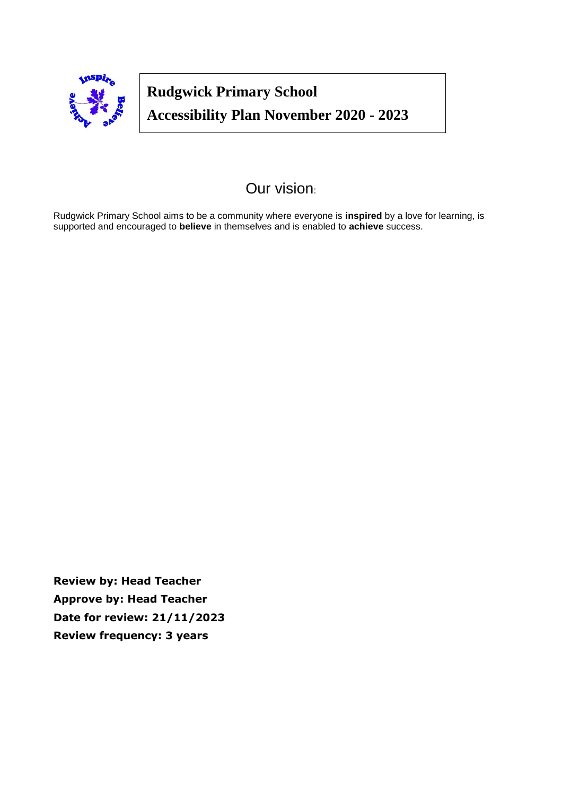

# **Rudgwick Primary School Accessibility Plan November 2020 - 2023**

**April –2016 - 2019**

# Our vision:

Rudgwick Primary School aims to be a community where everyone is **inspired** by a love for learning, is supported and encouraged to **believe** in themselves and is enabled to **achieve** success.

**Review by: Head Teacher Approve by: Head Teacher Date for review: 21/11/2023 Review frequency: 3 years**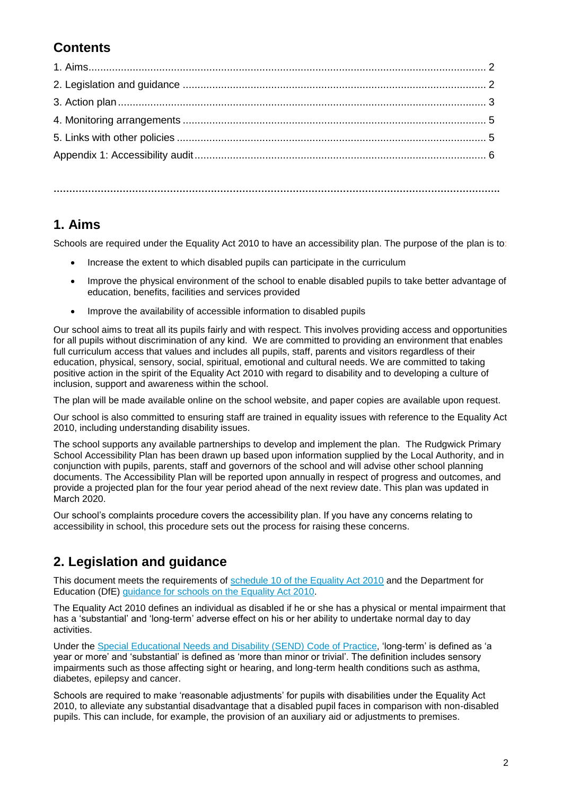## **Contents**

#### **…………………………………………………………………………………………………………………………….**

#### **1. Aims**

Schools are required under the Equality Act 2010 to have an accessibility plan. The purpose of the plan is to:

- Increase the extent to which disabled pupils can participate in the curriculum
- Improve the physical environment of the school to enable disabled pupils to take better advantage of education, benefits, facilities and services provided
- Improve the availability of accessible information to disabled pupils

Our school aims to treat all its pupils fairly and with respect. This involves providing access and opportunities for all pupils without discrimination of any kind. We are committed to providing an environment that enables full curriculum access that values and includes all pupils, staff, parents and visitors regardless of their education, physical, sensory, social, spiritual, emotional and cultural needs. We are committed to taking positive action in the spirit of the Equality Act 2010 with regard to disability and to developing a culture of inclusion, support and awareness within the school.

The plan will be made available online on the school website, and paper copies are available upon request.

Our school is also committed to ensuring staff are trained in equality issues with reference to the Equality Act 2010, including understanding disability issues.

The school supports any available partnerships to develop and implement the plan. The Rudgwick Primary School Accessibility Plan has been drawn up based upon information supplied by the Local Authority, and in conjunction with pupils, parents, staff and governors of the school and will advise other school planning documents. The Accessibility Plan will be reported upon annually in respect of progress and outcomes, and provide a projected plan for the four year period ahead of the next review date. This plan was updated in March 2020.

Our school's complaints procedure covers the accessibility plan. If you have any concerns relating to accessibility in school, this procedure sets out the process for raising these concerns.

### **2. Legislation and guidance**

This document meets the requirements of [schedule 10 of the Equality Act 2010](http://www.legislation.gov.uk/ukpga/2010/15/schedule/10) and the Department for Education (DfE) [guidance for schools on the Equality Act 2010.](https://www.gov.uk/government/publications/equality-act-2010-advice-for-schools)

The Equality Act 2010 defines an individual as disabled if he or she has a physical or mental impairment that has a 'substantial' and 'long-term' adverse effect on his or her ability to undertake normal day to day activities.

Under the [Special Educational Needs and Disability \(SEND\) Code of Practice,](https://www.gov.uk/government/publications/send-code-of-practice-0-to-25) 'long-term' is defined as 'a year or more' and 'substantial' is defined as 'more than minor or trivial'. The definition includes sensory impairments such as those affecting sight or hearing, and long-term health conditions such as asthma, diabetes, epilepsy and cancer.

Schools are required to make 'reasonable adjustments' for pupils with disabilities under the Equality Act 2010, to alleviate any substantial disadvantage that a disabled pupil faces in comparison with non-disabled pupils. This can include, for example, the provision of an auxiliary aid or adjustments to premises.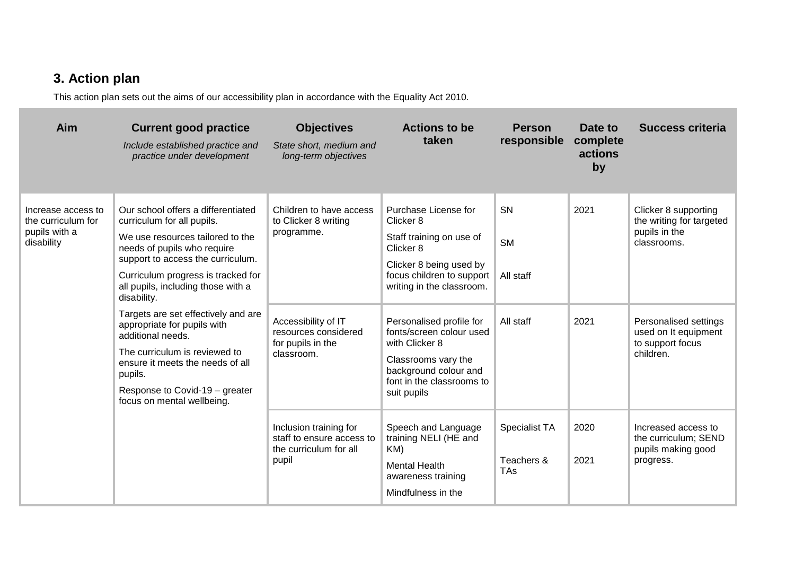# **3. Action plan**

This action plan sets out the aims of our accessibility plan in accordance with the Equality Act 2010.

| Aim                                                                     | <b>Current good practice</b><br>Include established practice and<br>practice under development                                                                                                                                                                                                                                                                                                                                                                                                                 | <b>Objectives</b><br>State short, medium and<br>long-term objectives                                                                            | <b>Actions to be</b><br>taken                                                                                                                                                                                                                                                                                                         | <b>Person</b><br>responsible              | Date to<br>complete<br>actions<br>by | <b>Success criteria</b>                                                                                                                                            |
|-------------------------------------------------------------------------|----------------------------------------------------------------------------------------------------------------------------------------------------------------------------------------------------------------------------------------------------------------------------------------------------------------------------------------------------------------------------------------------------------------------------------------------------------------------------------------------------------------|-------------------------------------------------------------------------------------------------------------------------------------------------|---------------------------------------------------------------------------------------------------------------------------------------------------------------------------------------------------------------------------------------------------------------------------------------------------------------------------------------|-------------------------------------------|--------------------------------------|--------------------------------------------------------------------------------------------------------------------------------------------------------------------|
| Increase access to<br>the curriculum for<br>pupils with a<br>disability | Our school offers a differentiated<br>curriculum for all pupils.<br>We use resources tailored to the<br>needs of pupils who require<br>support to access the curriculum.<br>Curriculum progress is tracked for<br>all pupils, including those with a<br>disability.<br>Targets are set effectively and are<br>appropriate for pupils with<br>additional needs.<br>The curriculum is reviewed to<br>ensure it meets the needs of all<br>pupils.<br>Response to Covid-19 - greater<br>focus on mental wellbeing. | Children to have access<br>to Clicker 8 writing<br>programme.<br>Accessibility of IT<br>resources considered<br>for pupils in the<br>classroom. | Purchase License for<br>Clicker 8<br>Staff training on use of<br>Clicker 8<br>Clicker 8 being used by<br>focus children to support<br>writing in the classroom.<br>Personalised profile for<br>fonts/screen colour used<br>with Clicker 8<br>Classrooms vary the<br>background colour and<br>font in the classrooms to<br>suit pupils | SN<br><b>SM</b><br>All staff<br>All staff | 2021<br>2021                         | Clicker 8 supporting<br>the writing for targeted<br>pupils in the<br>classrooms.<br>Personalised settings<br>used on It equipment<br>to support focus<br>children. |
|                                                                         |                                                                                                                                                                                                                                                                                                                                                                                                                                                                                                                | Inclusion training for<br>staff to ensure access to<br>the curriculum for all<br>pupil                                                          | Speech and Language<br>training NELI (HE and<br>KM)<br><b>Mental Health</b><br>awareness training<br>Mindfulness in the                                                                                                                                                                                                               | Specialist TA<br>Teachers &<br>TAs        | 2020<br>2021                         | Increased access to<br>the curriculum; SEND<br>pupils making good<br>progress.                                                                                     |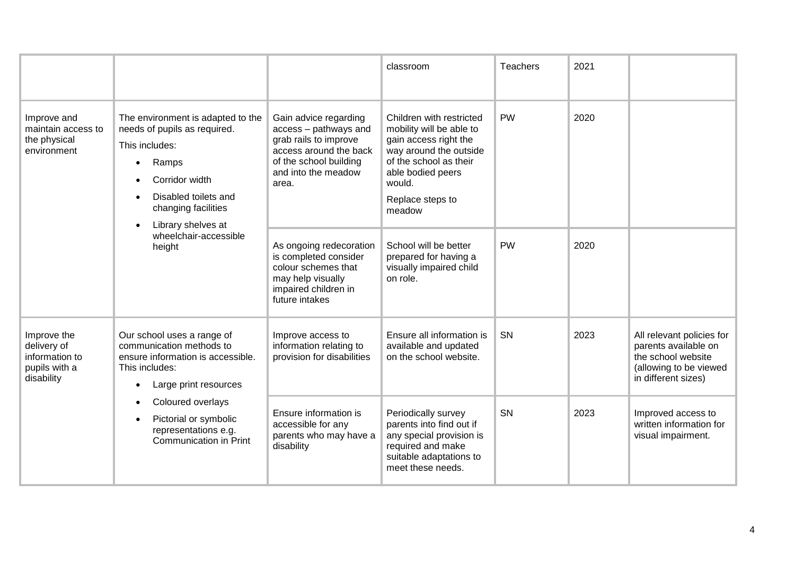|                                                                             |                                                                                                                                                                                                                                               |                                                                                                                                                             | classroom                                                                                                                                                                                      | <b>Teachers</b> | 2021 |                                                                                                                          |
|-----------------------------------------------------------------------------|-----------------------------------------------------------------------------------------------------------------------------------------------------------------------------------------------------------------------------------------------|-------------------------------------------------------------------------------------------------------------------------------------------------------------|------------------------------------------------------------------------------------------------------------------------------------------------------------------------------------------------|-----------------|------|--------------------------------------------------------------------------------------------------------------------------|
| Improve and<br>maintain access to<br>the physical<br>environment            | The environment is adapted to the<br>needs of pupils as required.<br>This includes:<br>Ramps<br>Corridor width<br>Disabled toilets and<br>changing facilities<br>Library shelves at<br>wheelchair-accessible<br>height                        | Gain advice regarding<br>access - pathways and<br>grab rails to improve<br>access around the back<br>of the school building<br>and into the meadow<br>area. | Children with restricted<br>mobility will be able to<br>gain access right the<br>way around the outside<br>of the school as their<br>able bodied peers<br>would.<br>Replace steps to<br>meadow | <b>PW</b>       | 2020 |                                                                                                                          |
|                                                                             |                                                                                                                                                                                                                                               | As ongoing redecoration<br>is completed consider<br>colour schemes that<br>may help visually<br>impaired children in<br>future intakes                      | School will be better<br>prepared for having a<br>visually impaired child<br>on role.                                                                                                          | <b>PW</b>       | 2020 |                                                                                                                          |
| Improve the<br>delivery of<br>information to<br>pupils with a<br>disability | Our school uses a range of<br>communication methods to<br>ensure information is accessible.<br>This includes:<br>Large print resources<br>Coloured overlays<br>Pictorial or symbolic<br>representations e.g.<br><b>Communication in Print</b> | Improve access to<br>information relating to<br>provision for disabilities                                                                                  | Ensure all information is<br>available and updated<br>on the school website.                                                                                                                   | SN              | 2023 | All relevant policies for<br>parents available on<br>the school website<br>(allowing to be viewed<br>in different sizes) |
|                                                                             |                                                                                                                                                                                                                                               | Ensure information is<br>accessible for any<br>parents who may have a<br>disability                                                                         | Periodically survey<br>parents into find out if<br>any special provision is<br>required and make<br>suitable adaptations to<br>meet these needs.                                               | <b>SN</b>       | 2023 | Improved access to<br>written information for<br>visual impairment.                                                      |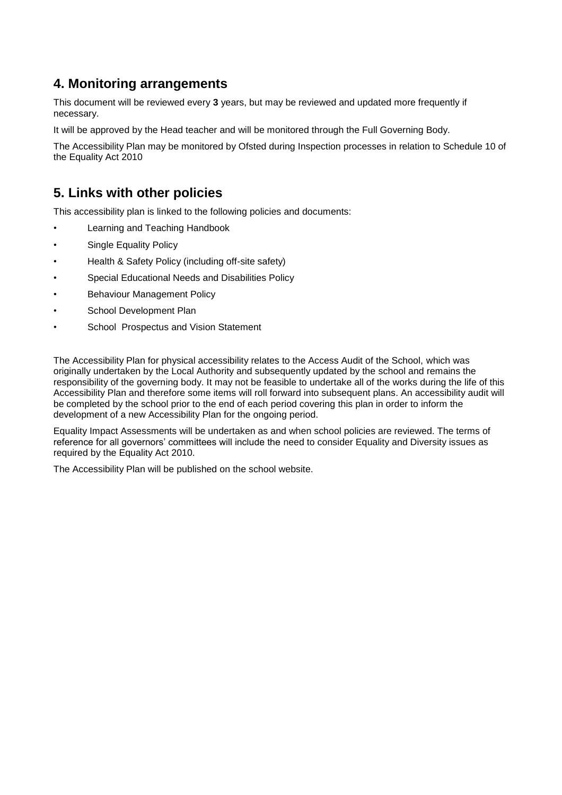#### **4. Monitoring arrangements**

This document will be reviewed every **3** years, but may be reviewed and updated more frequently if necessary.

It will be approved by the Head teacher and will be monitored through the Full Governing Body.

The Accessibility Plan may be monitored by Ofsted during Inspection processes in relation to Schedule 10 of the Equality Act 2010

#### **5. Links with other policies**

This accessibility plan is linked to the following policies and documents:

- Learning and Teaching Handbook
- Single Equality Policy
- Health & Safety Policy (including off-site safety)
- Special Educational Needs and Disabilities Policy
- Behaviour Management Policy
- School Development Plan
- School Prospectus and Vision Statement

The Accessibility Plan for physical accessibility relates to the Access Audit of the School, which was originally undertaken by the Local Authority and subsequently updated by the school and remains the responsibility of the governing body. It may not be feasible to undertake all of the works during the life of this Accessibility Plan and therefore some items will roll forward into subsequent plans. An accessibility audit will be completed by the school prior to the end of each period covering this plan in order to inform the development of a new Accessibility Plan for the ongoing period.

Equality Impact Assessments will be undertaken as and when school policies are reviewed. The terms of reference for all governors' committees will include the need to consider Equality and Diversity issues as required by the Equality Act 2010.

The Accessibility Plan will be published on the school website.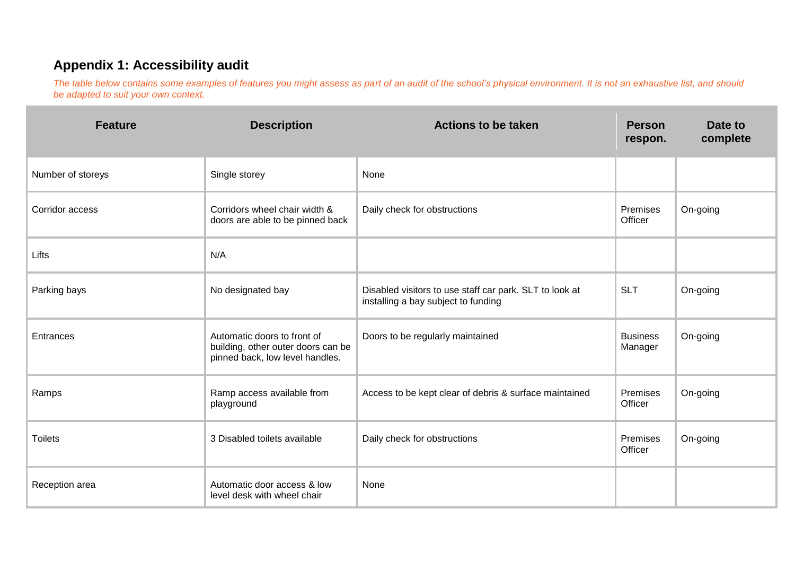### **Appendix 1: Accessibility audit**

*The table below contains some examples of features you might assess as part of an audit of the school's physical environment. It is not an exhaustive list, and should be adapted to suit your own context.*

| <b>Feature</b>    | <b>Description</b>                                                                                   | <b>Actions to be taken</b>                                                                     | <b>Person</b><br>respon.   | Date to<br>complete |
|-------------------|------------------------------------------------------------------------------------------------------|------------------------------------------------------------------------------------------------|----------------------------|---------------------|
| Number of storeys | Single storey                                                                                        | None                                                                                           |                            |                     |
| Corridor access   | Corridors wheel chair width &<br>doors are able to be pinned back                                    | Daily check for obstructions                                                                   | Premises<br>Officer        | On-going            |
| Lifts             | N/A                                                                                                  |                                                                                                |                            |                     |
| Parking bays      | No designated bay                                                                                    | Disabled visitors to use staff car park. SLT to look at<br>installing a bay subject to funding | <b>SLT</b>                 | On-going            |
| Entrances         | Automatic doors to front of<br>building, other outer doors can be<br>pinned back, low level handles. | Doors to be regularly maintained                                                               | <b>Business</b><br>Manager | On-going            |
| Ramps             | Ramp access available from<br>playground                                                             | Access to be kept clear of debris & surface maintained                                         | Premises<br>Officer        | On-going            |
| <b>Toilets</b>    | 3 Disabled toilets available                                                                         | Daily check for obstructions                                                                   | Premises<br>Officer        | On-going            |
| Reception area    | Automatic door access & low<br>level desk with wheel chair                                           | None                                                                                           |                            |                     |